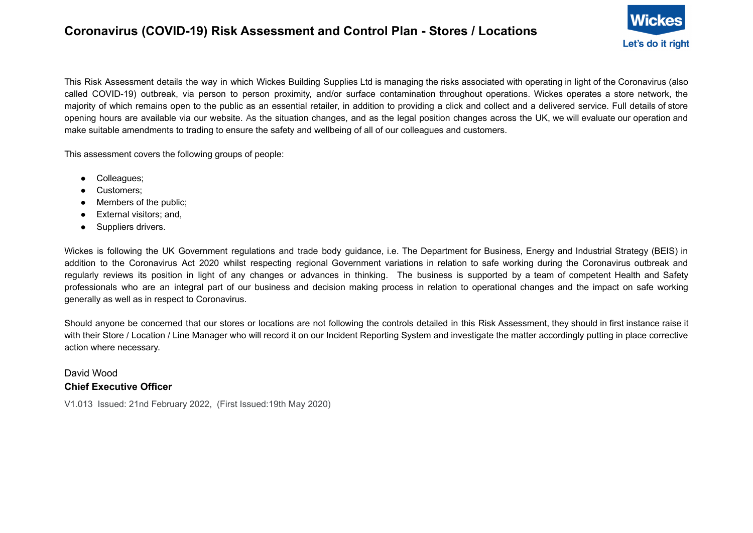## **Coronavirus (COVID-19) Risk Assessment and Control Plan - Stores / Locations**



This Risk Assessment details the way in which Wickes Building Supplies Ltd is managing the risks associated with operating in light of the Coronavirus (also called COVID-19) outbreak, via person to person proximity, and/or surface contamination throughout operations. Wickes operates a store network, the majority of which remains open to the public as an essential retailer, in addition to providing a click and collect and a delivered service. Full details of store opening hours are available via our website. As the situation changes, and as the legal position changes across the UK, we will evaluate our operation and make suitable amendments to trading to ensure the safety and wellbeing of all of our colleagues and customers.

This assessment covers the following groups of people:

- Colleagues;
- Customers;
- Members of the public;
- External visitors; and,
- Suppliers drivers.

Wickes is following the UK Government regulations and trade body guidance, i.e. The Department for Business, Energy and Industrial Strategy (BEIS) in addition to the Coronavirus Act 2020 whilst respecting regional Government variations in relation to safe working during the Coronavirus outbreak and regularly reviews its position in light of any changes or advances in thinking. The business is supported by a team of competent Health and Safety professionals who are an integral part of our business and decision making process in relation to operational changes and the impact on safe working generally as well as in respect to Coronavirus.

Should anyone be concerned that our stores or locations are not following the controls detailed in this Risk Assessment, they should in first instance raise it with their Store / Location / Line Manager who will record it on our Incident Reporting System and investigate the matter accordingly putting in place corrective action where necessary.

## David Wood **Chief Executive Officer**

V1.013 Issued: 21nd February 2022, (First Issued:19th May 2020)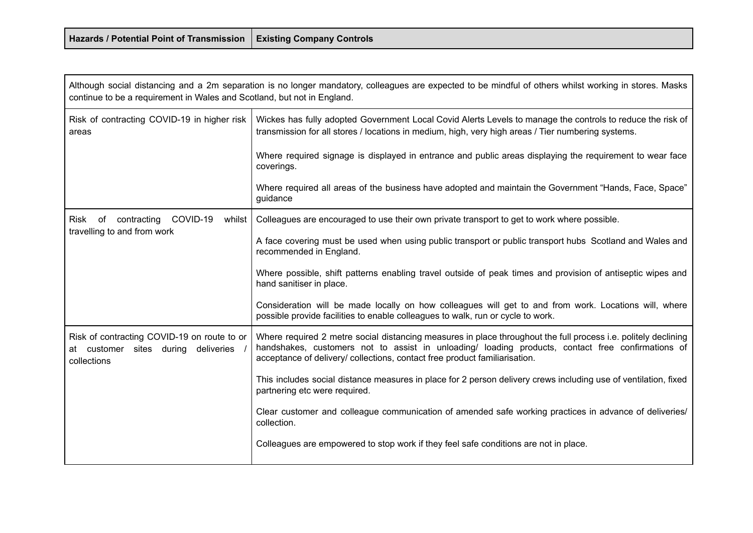| Hazards / Potential Point of Transmission   Existing Company Controls |  |
|-----------------------------------------------------------------------|--|
|-----------------------------------------------------------------------|--|

the control of the control of the control of the

and the contract of the contract of the contract of the contract of the contract of the contract of the contract of

| Although social distancing and a 2m separation is no longer mandatory, colleagues are expected to be mindful of others whilst working in stores. Masks<br>continue to be a requirement in Wales and Scotland, but not in England. |                                                                                                                                                                                                                                                                                                   |
|-----------------------------------------------------------------------------------------------------------------------------------------------------------------------------------------------------------------------------------|---------------------------------------------------------------------------------------------------------------------------------------------------------------------------------------------------------------------------------------------------------------------------------------------------|
| Risk of contracting COVID-19 in higher risk<br>areas                                                                                                                                                                              | Wickes has fully adopted Government Local Covid Alerts Levels to manage the controls to reduce the risk of<br>transmission for all stores / locations in medium, high, very high areas / Tier numbering systems.                                                                                  |
|                                                                                                                                                                                                                                   | Where required signage is displayed in entrance and public areas displaying the requirement to wear face<br>coverings.                                                                                                                                                                            |
|                                                                                                                                                                                                                                   | Where required all areas of the business have adopted and maintain the Government "Hands, Face, Space"<br>guidance                                                                                                                                                                                |
| contracting<br>COVID-19<br>Risk of<br>whilst                                                                                                                                                                                      | Colleagues are encouraged to use their own private transport to get to work where possible.                                                                                                                                                                                                       |
| travelling to and from work                                                                                                                                                                                                       | A face covering must be used when using public transport or public transport hubs Scotland and Wales and<br>recommended in England.                                                                                                                                                               |
|                                                                                                                                                                                                                                   | Where possible, shift patterns enabling travel outside of peak times and provision of antiseptic wipes and<br>hand sanitiser in place.                                                                                                                                                            |
|                                                                                                                                                                                                                                   | Consideration will be made locally on how colleagues will get to and from work. Locations will, where<br>possible provide facilities to enable colleagues to walk, run or cycle to work.                                                                                                          |
| Risk of contracting COVID-19 on route to or<br>at customer sites during deliveries<br>collections                                                                                                                                 | Where required 2 metre social distancing measures in place throughout the full process i.e. politely declining<br>handshakes, customers not to assist in unloading/ loading products, contact free confirmations of<br>acceptance of delivery/ collections, contact free product familiarisation. |
|                                                                                                                                                                                                                                   | This includes social distance measures in place for 2 person delivery crews including use of ventilation, fixed<br>partnering etc were required.                                                                                                                                                  |
|                                                                                                                                                                                                                                   | Clear customer and colleague communication of amended safe working practices in advance of deliveries/<br>collection.                                                                                                                                                                             |
|                                                                                                                                                                                                                                   | Colleagues are empowered to stop work if they feel safe conditions are not in place.                                                                                                                                                                                                              |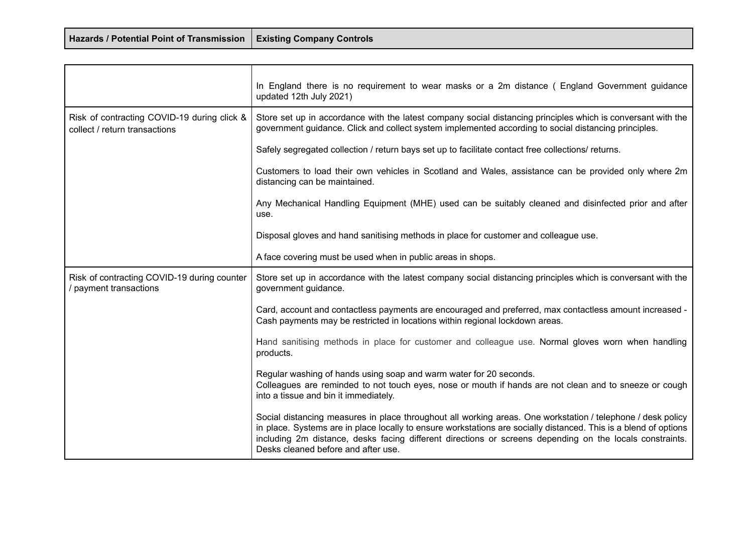| Hazards / Potential Point of Transmission   Existing Company Controls |  |
|-----------------------------------------------------------------------|--|
|-----------------------------------------------------------------------|--|

|                                                                              | In England there is no requirement to wear masks or a 2m distance (England Government guidance<br>updated 12th July 2021)                                                                                                                                                                                                                                                          |
|------------------------------------------------------------------------------|------------------------------------------------------------------------------------------------------------------------------------------------------------------------------------------------------------------------------------------------------------------------------------------------------------------------------------------------------------------------------------|
| Risk of contracting COVID-19 during click &<br>collect / return transactions | Store set up in accordance with the latest company social distancing principles which is conversant with the<br>government guidance. Click and collect system implemented according to social distancing principles.                                                                                                                                                               |
|                                                                              | Safely segregated collection / return bays set up to facilitate contact free collections/ returns.                                                                                                                                                                                                                                                                                 |
|                                                                              | Customers to load their own vehicles in Scotland and Wales, assistance can be provided only where 2m<br>distancing can be maintained.                                                                                                                                                                                                                                              |
|                                                                              | Any Mechanical Handling Equipment (MHE) used can be suitably cleaned and disinfected prior and after<br>use.                                                                                                                                                                                                                                                                       |
|                                                                              | Disposal gloves and hand sanitising methods in place for customer and colleague use.                                                                                                                                                                                                                                                                                               |
|                                                                              | A face covering must be used when in public areas in shops.                                                                                                                                                                                                                                                                                                                        |
| Risk of contracting COVID-19 during counter<br>payment transactions          | Store set up in accordance with the latest company social distancing principles which is conversant with the<br>government guidance.                                                                                                                                                                                                                                               |
|                                                                              | Card, account and contactless payments are encouraged and preferred, max contactless amount increased -<br>Cash payments may be restricted in locations within regional lockdown areas.                                                                                                                                                                                            |
|                                                                              | Hand sanitising methods in place for customer and colleague use. Normal gloves worn when handling<br>products.                                                                                                                                                                                                                                                                     |
|                                                                              | Regular washing of hands using soap and warm water for 20 seconds.<br>Colleagues are reminded to not touch eyes, nose or mouth if hands are not clean and to sneeze or cough<br>into a tissue and bin it immediately.                                                                                                                                                              |
|                                                                              | Social distancing measures in place throughout all working areas. One workstation / telephone / desk policy<br>in place. Systems are in place locally to ensure workstations are socially distanced. This is a blend of options<br>including 2m distance, desks facing different directions or screens depending on the locals constraints.<br>Desks cleaned before and after use. |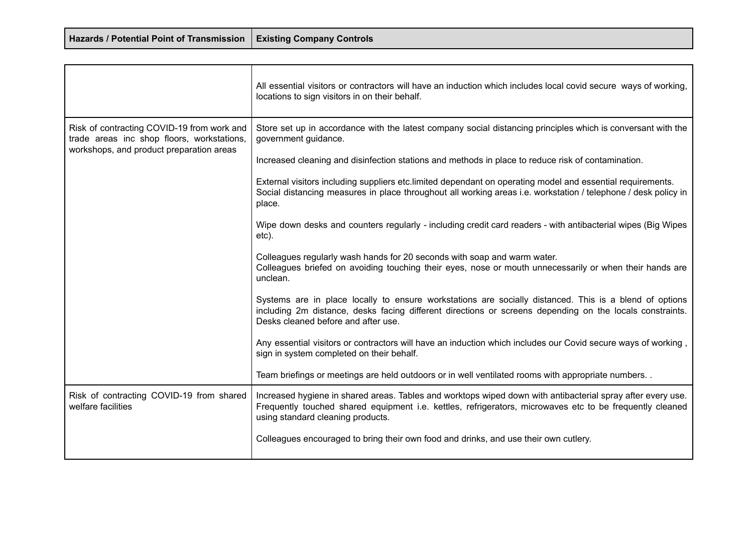| Hazards / Potential Point of Transmission   Existing Company Controls |  |
|-----------------------------------------------------------------------|--|
|-----------------------------------------------------------------------|--|

┱

|                                                                                                                                      | All essential visitors or contractors will have an induction which includes local covid secure ways of working,<br>locations to sign visitors in on their behalf.                                                                                            |
|--------------------------------------------------------------------------------------------------------------------------------------|--------------------------------------------------------------------------------------------------------------------------------------------------------------------------------------------------------------------------------------------------------------|
| Risk of contracting COVID-19 from work and<br>trade areas inc shop floors, workstations,<br>workshops, and product preparation areas | Store set up in accordance with the latest company social distancing principles which is conversant with the<br>government guidance.                                                                                                                         |
|                                                                                                                                      | Increased cleaning and disinfection stations and methods in place to reduce risk of contamination.                                                                                                                                                           |
|                                                                                                                                      | External visitors including suppliers etc. limited dependant on operating model and essential requirements.<br>Social distancing measures in place throughout all working areas i.e. workstation / telephone / desk policy in<br>place.                      |
|                                                                                                                                      | Wipe down desks and counters regularly - including credit card readers - with antibacterial wipes (Big Wipes<br>etc).                                                                                                                                        |
|                                                                                                                                      | Colleagues regularly wash hands for 20 seconds with soap and warm water.<br>Colleagues briefed on avoiding touching their eyes, nose or mouth unnecessarily or when their hands are<br>unclean.                                                              |
|                                                                                                                                      | Systems are in place locally to ensure workstations are socially distanced. This is a blend of options<br>including 2m distance, desks facing different directions or screens depending on the locals constraints.<br>Desks cleaned before and after use.    |
|                                                                                                                                      | Any essential visitors or contractors will have an induction which includes our Covid secure ways of working,<br>sign in system completed on their behalf.                                                                                                   |
|                                                                                                                                      | Team briefings or meetings are held outdoors or in well ventilated rooms with appropriate numbers. .                                                                                                                                                         |
| Risk of contracting COVID-19 from shared<br>welfare facilities                                                                       | Increased hygiene in shared areas. Tables and worktops wiped down with antibacterial spray after every use.<br>Frequently touched shared equipment i.e. kettles, refrigerators, microwaves etc to be frequently cleaned<br>using standard cleaning products. |
|                                                                                                                                      | Colleagues encouraged to bring their own food and drinks, and use their own cutlery.                                                                                                                                                                         |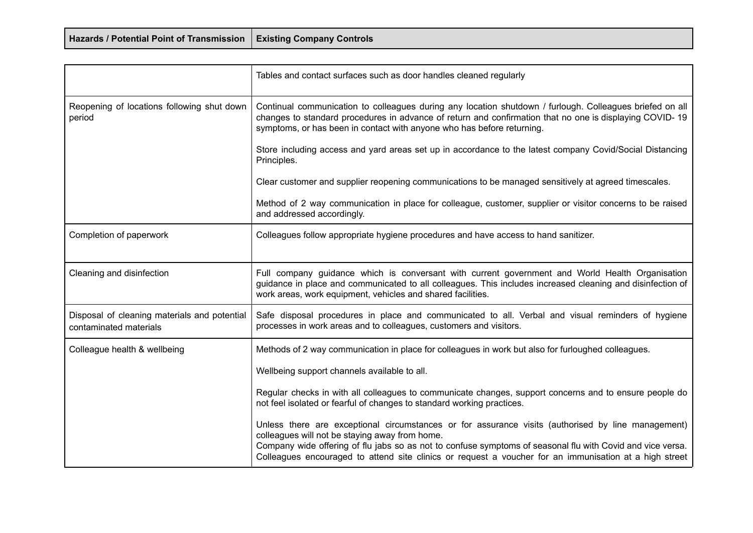| Hazards / Potential Point of Transmission   Existing Company Controls |  |
|-----------------------------------------------------------------------|--|
|-----------------------------------------------------------------------|--|

|                                                                        | Tables and contact surfaces such as door handles cleaned regularly                                                                                                                                                                                                                                                                                                           |
|------------------------------------------------------------------------|------------------------------------------------------------------------------------------------------------------------------------------------------------------------------------------------------------------------------------------------------------------------------------------------------------------------------------------------------------------------------|
| Reopening of locations following shut down<br>period                   | Continual communication to colleagues during any location shutdown / furlough. Colleagues briefed on all<br>changes to standard procedures in advance of return and confirmation that no one is displaying COVID-19<br>symptoms, or has been in contact with anyone who has before returning.                                                                                |
|                                                                        | Store including access and yard areas set up in accordance to the latest company Covid/Social Distancing<br>Principles.                                                                                                                                                                                                                                                      |
|                                                                        | Clear customer and supplier reopening communications to be managed sensitively at agreed timescales.                                                                                                                                                                                                                                                                         |
|                                                                        | Method of 2 way communication in place for colleague, customer, supplier or visitor concerns to be raised<br>and addressed accordingly.                                                                                                                                                                                                                                      |
| Completion of paperwork                                                | Colleagues follow appropriate hygiene procedures and have access to hand sanitizer.                                                                                                                                                                                                                                                                                          |
| Cleaning and disinfection                                              | Full company guidance which is conversant with current government and World Health Organisation<br>guidance in place and communicated to all colleagues. This includes increased cleaning and disinfection of<br>work areas, work equipment, vehicles and shared facilities.                                                                                                 |
| Disposal of cleaning materials and potential<br>contaminated materials | Safe disposal procedures in place and communicated to all. Verbal and visual reminders of hygiene<br>processes in work areas and to colleagues, customers and visitors.                                                                                                                                                                                                      |
| Colleague health & wellbeing                                           | Methods of 2 way communication in place for colleagues in work but also for furloughed colleagues.                                                                                                                                                                                                                                                                           |
|                                                                        | Wellbeing support channels available to all.                                                                                                                                                                                                                                                                                                                                 |
|                                                                        | Regular checks in with all colleagues to communicate changes, support concerns and to ensure people do<br>not feel isolated or fearful of changes to standard working practices.                                                                                                                                                                                             |
|                                                                        | Unless there are exceptional circumstances or for assurance visits (authorised by line management)<br>colleagues will not be staying away from home.<br>Company wide offering of flu jabs so as not to confuse symptoms of seasonal flu with Covid and vice versa.<br>Colleagues encouraged to attend site clinics or request a voucher for an immunisation at a high street |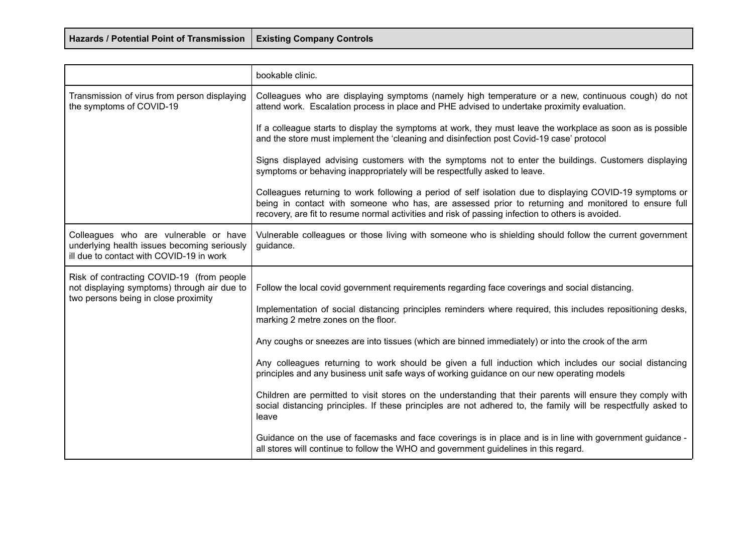| Hazards / Potential Point of Transmission   Existing Company Controls |  |
|-----------------------------------------------------------------------|--|
|-----------------------------------------------------------------------|--|

|                                                                                                                                  | bookable clinic.                                                                                                                                                                                                                                                                                                     |
|----------------------------------------------------------------------------------------------------------------------------------|----------------------------------------------------------------------------------------------------------------------------------------------------------------------------------------------------------------------------------------------------------------------------------------------------------------------|
| Transmission of virus from person displaying<br>the symptoms of COVID-19                                                         | Colleagues who are displaying symptoms (namely high temperature or a new, continuous cough) do not<br>attend work. Escalation process in place and PHE advised to undertake proximity evaluation.                                                                                                                    |
|                                                                                                                                  | If a colleague starts to display the symptoms at work, they must leave the workplace as soon as is possible<br>and the store must implement the 'cleaning and disinfection post Covid-19 case' protocol                                                                                                              |
|                                                                                                                                  | Signs displayed advising customers with the symptoms not to enter the buildings. Customers displaying<br>symptoms or behaving inappropriately will be respectfully asked to leave.                                                                                                                                   |
|                                                                                                                                  | Colleagues returning to work following a period of self isolation due to displaying COVID-19 symptoms or<br>being in contact with someone who has, are assessed prior to returning and monitored to ensure full<br>recovery, are fit to resume normal activities and risk of passing infection to others is avoided. |
| Colleagues who are vulnerable or have<br>underlying health issues becoming seriously<br>ill due to contact with COVID-19 in work | Vulnerable colleagues or those living with someone who is shielding should follow the current government<br>guidance.                                                                                                                                                                                                |
| Risk of contracting COVID-19 (from people<br>not displaying symptoms) through air due to                                         | Follow the local covid government requirements regarding face coverings and social distancing.                                                                                                                                                                                                                       |
| two persons being in close proximity                                                                                             | Implementation of social distancing principles reminders where required, this includes repositioning desks,<br>marking 2 metre zones on the floor.                                                                                                                                                                   |
|                                                                                                                                  | Any coughs or sneezes are into tissues (which are binned immediately) or into the crook of the arm                                                                                                                                                                                                                   |
|                                                                                                                                  | Any colleagues returning to work should be given a full induction which includes our social distancing<br>principles and any business unit safe ways of working guidance on our new operating models                                                                                                                 |
|                                                                                                                                  | Children are permitted to visit stores on the understanding that their parents will ensure they comply with<br>social distancing principles. If these principles are not adhered to, the family will be respectfully asked to<br>leave                                                                               |
|                                                                                                                                  | Guidance on the use of facemasks and face coverings is in place and is in line with government guidance -<br>all stores will continue to follow the WHO and government guidelines in this regard.                                                                                                                    |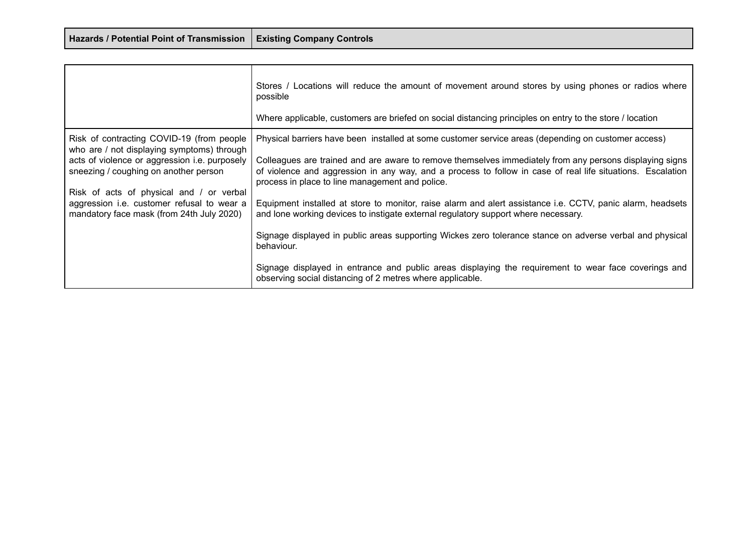| Hazards / Potential Point of Transmission   Existing Company Controls |  |
|-----------------------------------------------------------------------|--|
|-----------------------------------------------------------------------|--|

┰

|                                                                                                                                                                                   | Stores / Locations will reduce the amount of movement around stores by using phones or radios where<br>possible<br>Where applicable, customers are briefed on social distancing principles on entry to the store / location                                                                                                                                                     |
|-----------------------------------------------------------------------------------------------------------------------------------------------------------------------------------|---------------------------------------------------------------------------------------------------------------------------------------------------------------------------------------------------------------------------------------------------------------------------------------------------------------------------------------------------------------------------------|
| Risk of contracting COVID-19 (from people<br>who are / not displaying symptoms) through<br>acts of violence or aggression i.e. purposely<br>sneezing / coughing on another person | Physical barriers have been installed at some customer service areas (depending on customer access)<br>Colleagues are trained and are aware to remove themselves immediately from any persons displaying signs<br>of violence and aggression in any way, and a process to follow in case of real life situations. Escalation<br>process in place to line management and police. |
| Risk of acts of physical and / or verbal<br>aggression i.e. customer refusal to wear a<br>mandatory face mask (from 24th July 2020)                                               | Equipment installed at store to monitor, raise alarm and alert assistance i.e. CCTV, panic alarm, headsets<br>and lone working devices to instigate external regulatory support where necessary.<br>Signage displayed in public areas supporting Wickes zero tolerance stance on adverse verbal and physical<br>behaviour.                                                      |
|                                                                                                                                                                                   | Signage displayed in entrance and public areas displaying the requirement to wear face coverings and<br>observing social distancing of 2 metres where applicable.                                                                                                                                                                                                               |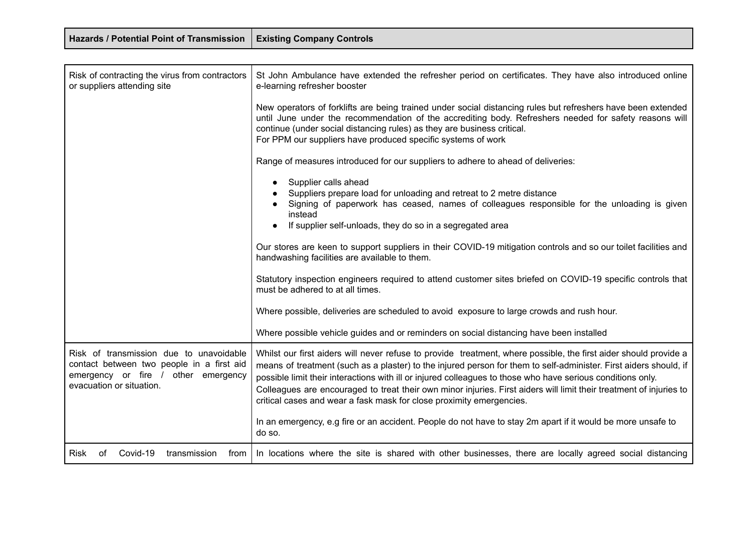| <b>Hazards / Potential Point of Transmission</b>                                                                                                        | <b>Existing Company Controls</b>                                                                                                                                                                                                                                                                                                                                                                                                                                                                                                                    |
|---------------------------------------------------------------------------------------------------------------------------------------------------------|-----------------------------------------------------------------------------------------------------------------------------------------------------------------------------------------------------------------------------------------------------------------------------------------------------------------------------------------------------------------------------------------------------------------------------------------------------------------------------------------------------------------------------------------------------|
|                                                                                                                                                         |                                                                                                                                                                                                                                                                                                                                                                                                                                                                                                                                                     |
| Risk of contracting the virus from contractors<br>or suppliers attending site                                                                           | St John Ambulance have extended the refresher period on certificates. They have also introduced online<br>e-learning refresher booster                                                                                                                                                                                                                                                                                                                                                                                                              |
|                                                                                                                                                         | New operators of forklifts are being trained under social distancing rules but refreshers have been extended<br>until June under the recommendation of the accrediting body. Refreshers needed for safety reasons will<br>continue (under social distancing rules) as they are business critical.<br>For PPM our suppliers have produced specific systems of work                                                                                                                                                                                   |
|                                                                                                                                                         | Range of measures introduced for our suppliers to adhere to ahead of deliveries:                                                                                                                                                                                                                                                                                                                                                                                                                                                                    |
|                                                                                                                                                         | Supplier calls ahead<br>$\bullet$<br>Suppliers prepare load for unloading and retreat to 2 metre distance<br>Signing of paperwork has ceased, names of colleagues responsible for the unloading is given<br>instead<br>If supplier self-unloads, they do so in a segregated area                                                                                                                                                                                                                                                                    |
|                                                                                                                                                         | Our stores are keen to support suppliers in their COVID-19 mitigation controls and so our toilet facilities and<br>handwashing facilities are available to them.                                                                                                                                                                                                                                                                                                                                                                                    |
|                                                                                                                                                         | Statutory inspection engineers required to attend customer sites briefed on COVID-19 specific controls that<br>must be adhered to at all times.                                                                                                                                                                                                                                                                                                                                                                                                     |
|                                                                                                                                                         | Where possible, deliveries are scheduled to avoid exposure to large crowds and rush hour.                                                                                                                                                                                                                                                                                                                                                                                                                                                           |
|                                                                                                                                                         | Where possible vehicle guides and or reminders on social distancing have been installed                                                                                                                                                                                                                                                                                                                                                                                                                                                             |
| Risk of transmission due to unavoidable<br>contact between two people in a first aid<br>emergency or fire / other emergency<br>evacuation or situation. | Whilst our first aiders will never refuse to provide treatment, where possible, the first aider should provide a<br>means of treatment (such as a plaster) to the injured person for them to self-administer. First aiders should, if<br>possible limit their interactions with ill or injured colleagues to those who have serious conditions only.<br>Colleagues are encouraged to treat their own minor injuries. First aiders will limit their treatment of injuries to<br>critical cases and wear a fask mask for close proximity emergencies. |
|                                                                                                                                                         | In an emergency, e.g fire or an accident. People do not have to stay 2m apart if it would be more unsafe to<br>do so.                                                                                                                                                                                                                                                                                                                                                                                                                               |
| Covid-19<br>transmission<br>from<br>Risk<br>of                                                                                                          | In locations where the site is shared with other businesses, there are locally agreed social distancing                                                                                                                                                                                                                                                                                                                                                                                                                                             |